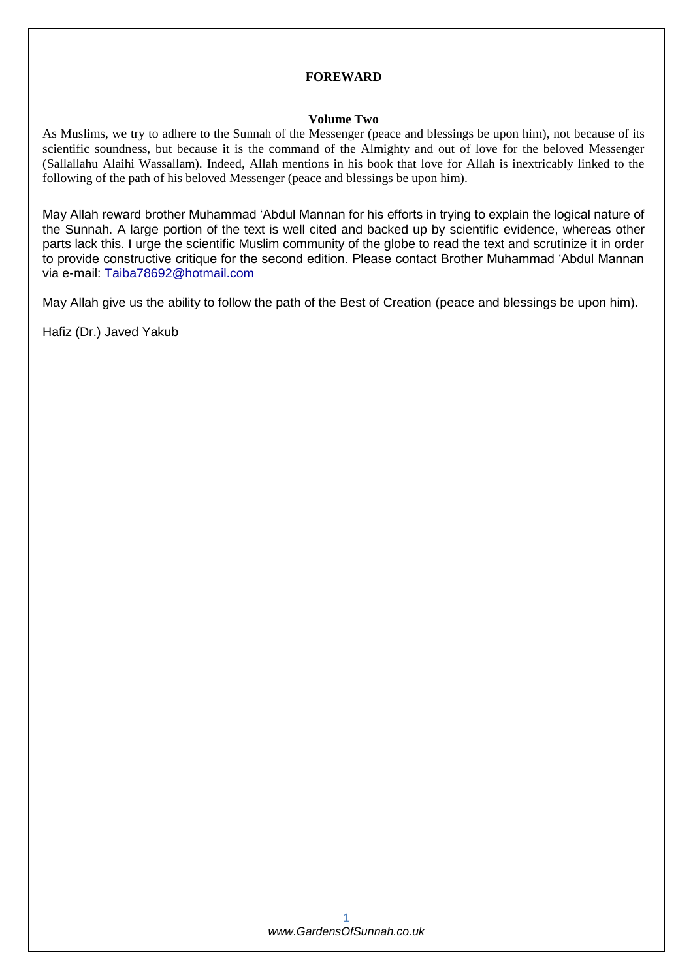### **FOREWARD**

### **Volume Two**

As Muslims, we try to adhere to the Sunnah of the Messenger (peace and blessings be upon him), not because of its scientific soundness, but because it is the command of the Almighty and out of love for the beloved Messenger (Sallallahu Alaihi Wassallam). Indeed, Allah mentions in his book that love for Allah is inextricably linked to the following of the path of his beloved Messenger (peace and blessings be upon him).

May Allah reward brother Muhammad 'Abdul Mannan for his efforts in trying to explain the logical nature of the Sunnah. A large portion of the text is well cited and backed up by scientific evidence, whereas other parts lack this. I urge the scientific Muslim community of the globe to read the text and scrutinize it in order to provide constructive critique for the second edition. Please contact Brother Muhammad 'Abdul Mannan via e-mail: [Taiba78692@hotmail.com](mailto:Taiba78692@hotmail.com)

May Allah give us the ability to follow the path of the Best of Creation (peace and blessings be upon him).

Hafiz (Dr.) Javed Yakub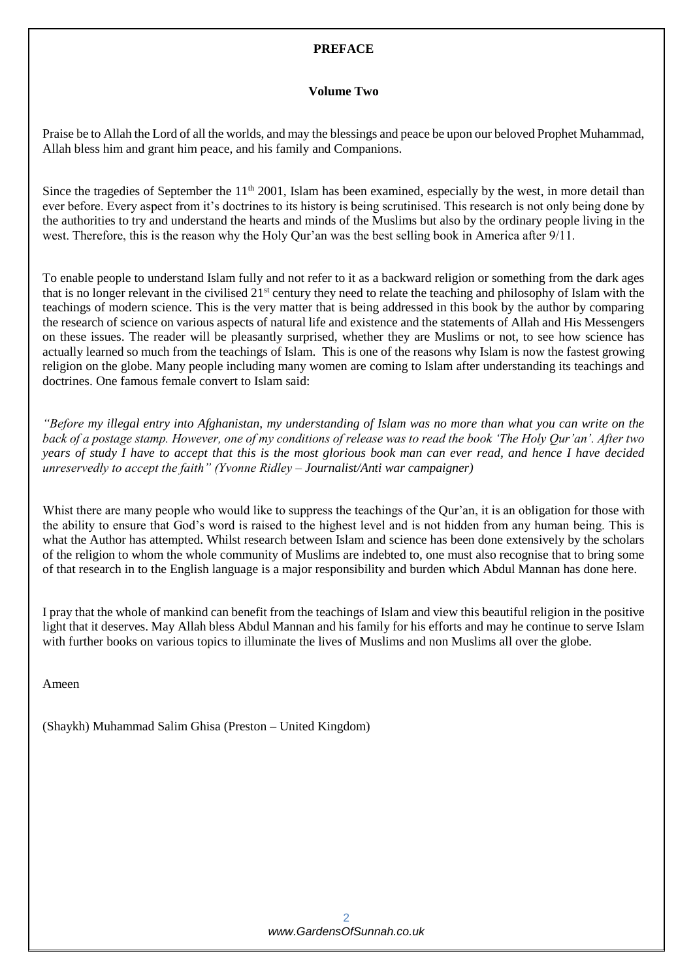# **PREFACE**

### **Volume Two**

Praise be to Allah the Lord of all the worlds, and may the blessings and peace be upon our beloved Prophet Muhammad, Allah bless him and grant him peace, and his family and Companions.

Since the tragedies of September the  $11<sup>th</sup> 2001$ , Islam has been examined, especially by the west, in more detail than ever before. Every aspect from it's doctrines to its history is being scrutinised. This research is not only being done by the authorities to try and understand the hearts and minds of the Muslims but also by the ordinary people living in the west. Therefore, this is the reason why the Holy Qur'an was the best selling book in America after 9/11.

To enable people to understand Islam fully and not refer to it as a backward religion or something from the dark ages that is no longer relevant in the civilised 21st century they need to relate the teaching and philosophy of Islam with the teachings of modern science. This is the very matter that is being addressed in this book by the author by comparing the research of science on various aspects of natural life and existence and the statements of Allah and His Messengers on these issues. The reader will be pleasantly surprised, whether they are Muslims or not, to see how science has actually learned so much from the teachings of Islam. This is one of the reasons why Islam is now the fastest growing religion on the globe. Many people including many women are coming to Islam after understanding its teachings and doctrines. One famous female convert to Islam said:

*"Before my illegal entry into Afghanistan, my understanding of Islam was no more than what you can write on the back of a postage stamp. However, one of my conditions of release was to read the book 'The Holy Qur'an'. After two years of study I have to accept that this is the most glorious book man can ever read, and hence I have decided unreservedly to accept the faith" (Yvonne Ridley – Journalist/Anti war campaigner)*

Whist there are many people who would like to suppress the teachings of the Qur'an, it is an obligation for those with the ability to ensure that God's word is raised to the highest level and is not hidden from any human being. This is what the Author has attempted. Whilst research between Islam and science has been done extensively by the scholars of the religion to whom the whole community of Muslims are indebted to, one must also recognise that to bring some of that research in to the English language is a major responsibility and burden which Abdul Mannan has done here.

I pray that the whole of mankind can benefit from the teachings of Islam and view this beautiful religion in the positive light that it deserves. May Allah bless Abdul Mannan and his family for his efforts and may he continue to serve Islam with further books on various topics to illuminate the lives of Muslims and non Muslims all over the globe.

Ameen

(Shaykh) Muhammad Salim Ghisa (Preston – United Kingdom)